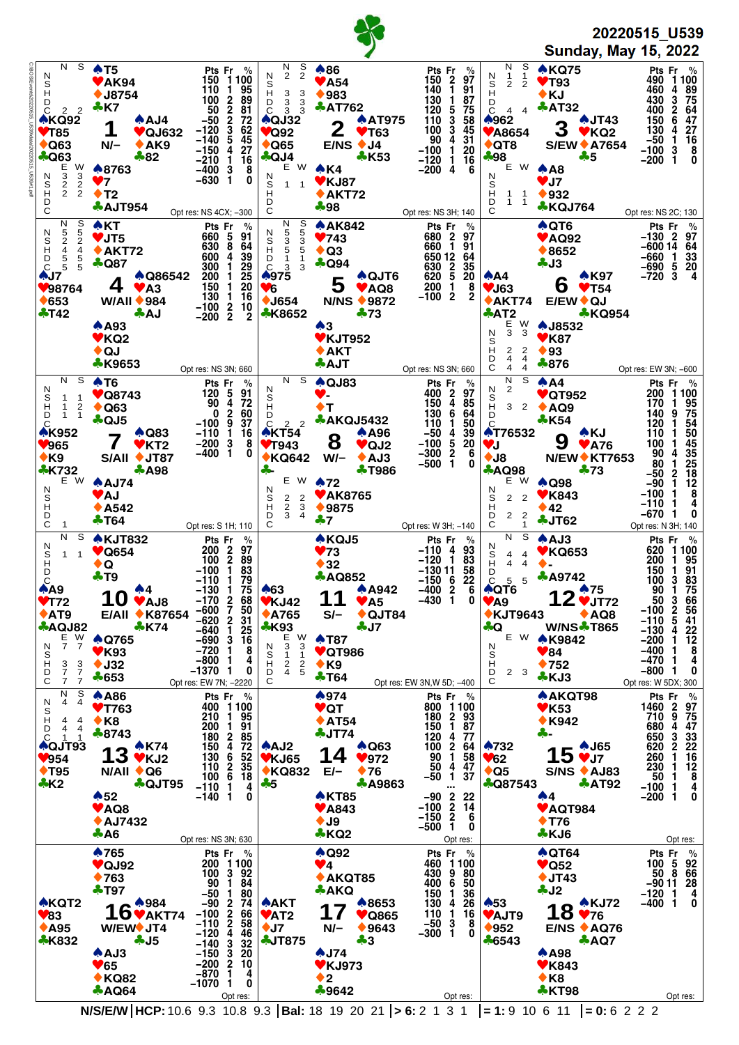